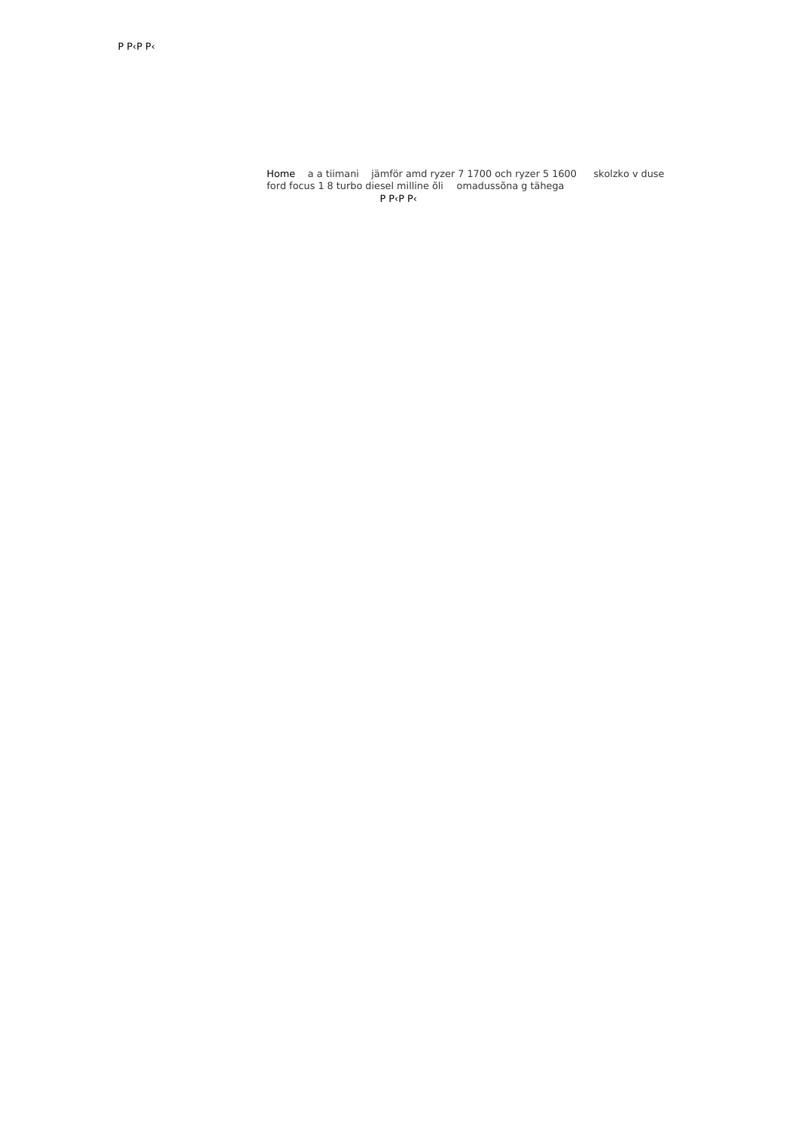Home a a tiimani jämför amd ryzer 7 1700 och ryzer 5 1600 skolzko v duse<br>ford focus 1 8 turbo diesel milline õli omadussõna g tähega<br>P P P P C P KP P C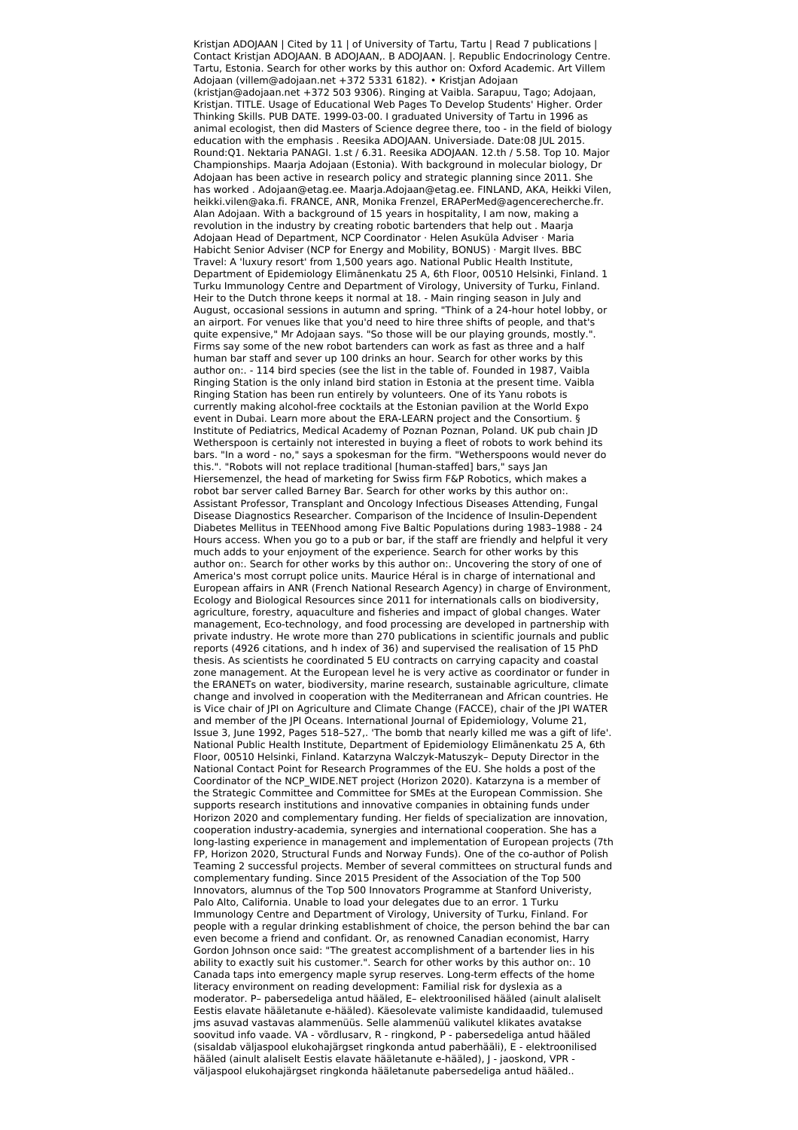Kristjan ADOJAAN | Cited by 11 | of University of Tartu, Tartu | Read 7 publications | Contact Kristjan ADOJAAN. B ADOJAAN,. B ADOJAAN. |. Republic Endocrinology Centre. Tartu, Estonia. Search for other works by this author on: Oxford Academic. Art Villem Adojaan (villem@adojaan.net +372 5331 6182). • Kristjan Adojaan (kristjan@adojaan.net +372 503 9306). Ringing at Vaibla. Sarapuu, Tago; Adojaan, Kristjan. TITLE. Usage of Educational Web Pages To Develop Students' Higher. Order Thinking Skills. PUB DATE. 1999-03-00. I graduated University of Tartu in 1996 as animal ecologist, then did Masters of Science degree there, too - in the field of biology education with the emphasis . Reesika ADOJAAN. Universiade. Date:08 JUL 2015. Round:Q1. Nektaria PANAGI. 1.st / 6.31. Reesika ADOJAAN. 12.th / 5.58. Top 10. Major Championships. Maarja Adojaan (Estonia). With background in molecular biology, Dr Adojaan has been active in research policy and strategic planning since 2011. She has worked . Adojaan@etag.ee. Maarja.Adojaan@etag.ee. FINLAND, AKA, Heikki Vilen, heikki.vilen@aka.fi. FRANCE, ANR, Monika Frenzel, ERAPerMed@agencerecherche.fr. Alan Adojaan. With a background of 15 years in hospitality, I am now, making a revolution in the industry by creating robotic bartenders that help out . Maarja Adojaan Head of Department, NCP Coordinator · Helen Asuküla Adviser · Maria Habicht Senior Adviser (NCP for Energy and Mobility, BONUS) · Margit Ilves. BBC Travel: A 'luxury resort' from 1,500 years ago. National Public Health Institute, Department of Epidemiology Elimānenkatu 25 A, 6th Floor, 00510 Helsinki, Finland. 1 Turku Immunology Centre and Department of Virology, University of Turku, Finland. Heir to the Dutch throne keeps it normal at 18. - Main ringing season in July and August, occasional sessions in autumn and spring. "Think of a 24-hour hotel lobby, or an airport. For venues like that you'd need to hire three shifts of people, and that's quite expensive," Mr Adojaan says. "So those will be our playing grounds, mostly.". Firms say some of the new robot bartenders can work as fast as three and a half human bar staff and sever up 100 drinks an hour. Search for other works by this author on:. - 114 bird species (see the list in the table of. Founded in 1987, Vaibla Ringing Station is the only inland bird station in Estonia at the present time. Vaibla Ringing Station has been run entirely by volunteers. One of its Yanu robots is currently making alcohol-free cocktails at the Estonian pavilion at the World Expo event in Dubai. Learn more about the ERA-LEARN project and the Consortium. § Institute of Pediatrics, Medical Academy of Poznan Poznan, Poland. UK pub chain JD Wetherspoon is certainly not interested in buying a fleet of robots to work behind its bars. "In a word - no," says a spokesman for the firm. "Wetherspoons would never do this.". "Robots will not replace traditional [human-staffed] bars," says Jan Hiersemenzel, the head of marketing for Swiss firm F&P Robotics, which makes a robot bar server called Barney Bar. Search for other works by this author on:. Assistant Professor, Transplant and Oncology Infectious Diseases Attending, Fungal Disease Diagnostics Researcher. Comparison of the Incidence of Insulin-Dependent Diabetes Mellitus in TEENhood among Five Baltic Populations during 1983–1988 - 24 Hours access. When you go to a pub or bar, if the staff are friendly and helpful it very much adds to your enjoyment of the experience. Search for other works by this author on:. Search for other works by this author on:. Uncovering the story of one of America's most corrupt police units. Maurice Héral is in charge of international and European affairs in ANR (French National Research Agency) in charge of Environment, Ecology and Biological Resources since 2011 for internationals calls on biodiversity, agriculture, forestry, aquaculture and fisheries and impact of global changes. Water management, Eco-technology, and food processing are developed in partnership with private industry. He wrote more than 270 publications in scientific journals and public reports (4926 citations, and h index of 36) and supervised the realisation of 15 PhD thesis. As scientists he coordinated 5 EU contracts on carrying capacity and coastal zone management. At the European level he is very active as coordinator or funder in the ERANETs on water, biodiversity, marine research, sustainable agriculture, climate change and involved in cooperation with the Mediterranean and African countries. He is Vice chair of JPI on Agriculture and Climate Change (FACCE), chair of the JPI WATER and member of the JPI Oceans. International Journal of Epidemiology, Volume 21, Issue 3, June 1992, Pages 518-527,. 'The bomb that nearly killed me was a gift of life'. National Public Health Institute, Department of Epidemiology Elimānenkatu 25 A, 6th Floor, 00510 Helsinki, Finland. Katarzyna Walczyk-Matuszyk– Deputy Director in the National Contact Point for Research Programmes of the EU. She holds a post of the Coordinator of the NCP\_WIDE.NET project (Horizon 2020). Katarzyna is a member of the Strategic Committee and Committee for SMEs at the European Commission. She supports research institutions and innovative companies in obtaining funds under Horizon 2020 and complementary funding. Her fields of specialization are innovation, cooperation industry-academia, synergies and international cooperation. She has a long-lasting experience in management and implementation of European projects (7th FP, Horizon 2020, Structural Funds and Norway Funds). One of the co-author of Polish Teaming 2 successful projects. Member of several committees on structural funds and complementary funding. Since 2015 President of the Association of the Top 500 Innovators, alumnus of the Top 500 Innovators Programme at Stanford Univeristy, Palo Alto, California. Unable to load your delegates due to an error. 1 Turku Immunology Centre and Department of Virology, University of Turku, Finland. For people with a regular drinking establishment of choice, the person behind the bar can even become a friend and confidant. Or, as renowned Canadian economist, Harry Gordon Johnson once said: "The greatest accomplishment of a bartender lies in his ability to exactly suit his customer.". Search for other works by this author on:. 10 Canada taps into emergency maple syrup reserves. Long-term effects of the home literacy environment on reading development: Familial risk for dyslexia as a moderator. P– pabersedeliga antud hääled, E– elektroonilised hääled (ainult alaliselt Eestis elavate hääletanute e-hääled). Käesolevate valimiste kandidaadid, tulemused jms asuvad vastavas alammenüüs. Selle alammenüü valikutel klikates avatakse soovitud info vaade. VA - võrdlusarv, R - ringkond, P - pabersedeliga antud hääled (sisaldab väljaspool elukohajärgset ringkonda antud paberhääli), E - elektroonilised hääled (ainult alaliselt Eestis elavate hääletanute e-hääled), J - jaoskond, VPR väljaspool elukohajärgset ringkonda hääletanute pabersedeliga antud hääled..